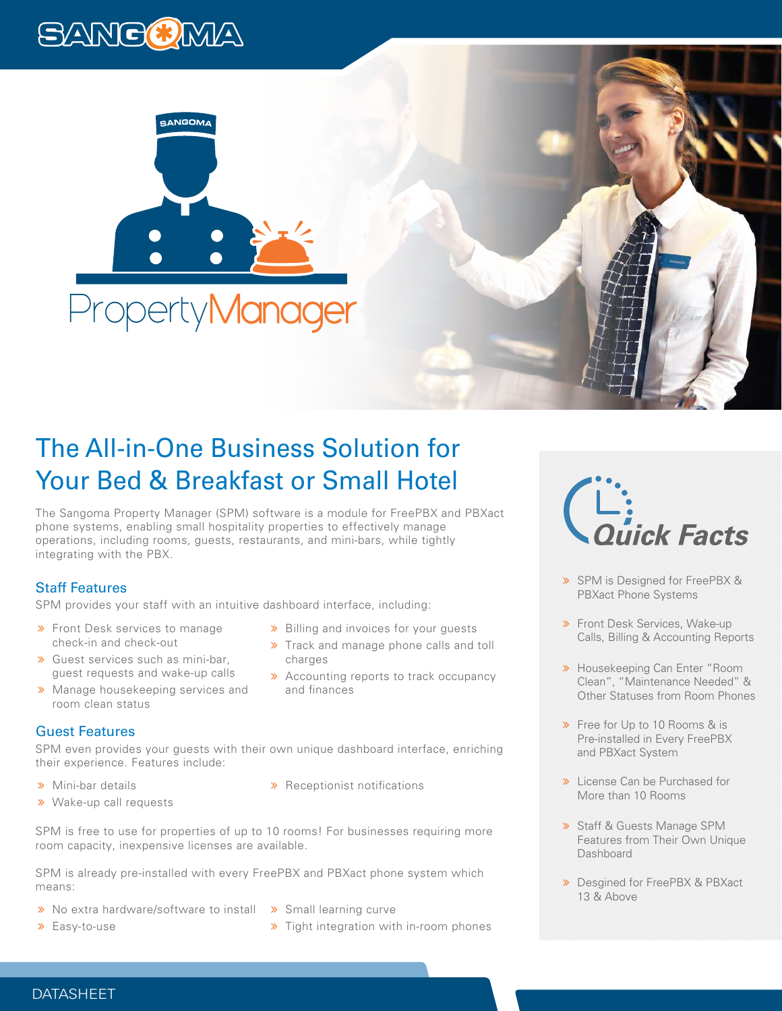



# The All-in-One Business Solution for Your Bed & Breakfast or Small Hotel

The Sangoma Property Manager (SPM) software is a module for FreePBX and PBXact phone systems, enabling small hospitality properties to effectively manage operations, including rooms, guests, restaurants, and mini-bars, while tightly integrating with the PBX.

## Staff Features

SPM provides your staff with an intuitive dashboard interface, including:

- **>** Front Desk services to manage check-in and check-out
- Guest services such as mini-bar, guest requests and wake-up calls
- **»** Manage housekeeping services and room clean status

### Guest Features

SPM even provides your guests with their own unique dashboard interface, enriching their experience. Features include:

charges

and finances

- > Mini-bar details
- Wake-up call requests

**»** Billing and invoices for your guests Track and manage phone calls and toll

**>>** Accounting reports to track occupancy

**»** Receptionist notifications

SPM is free to use for properties of up to 10 rooms! For businesses requiring more room capacity, inexpensive licenses are available.

SPM is already pre-installed with every FreePBX and PBXact phone system which means:

- > No extra hardware/software to install > Small learning curve
- Easy-to-use
- 
- **»** Tight integration with in-room phones



- > SPM is Designed for FreePBX & PBXact Phone Systems
- **»** Front Desk Services, Wake-up Calls, Billing & Accounting Reports
- **»** Housekeeping Can Enter "Room Clean", "Maintenance Needed" & Other Statuses from Room Phones
- **»** Free for Up to 10 Rooms & is Pre-installed in Every FreePBX and PBXact System
- **»** License Can be Purchased for More than 10 Rooms
- Staff & Guests Manage SPM Features from Their Own Unique Dashboard
- **»** Desgined for FreePBX & PBXact 13 & Above